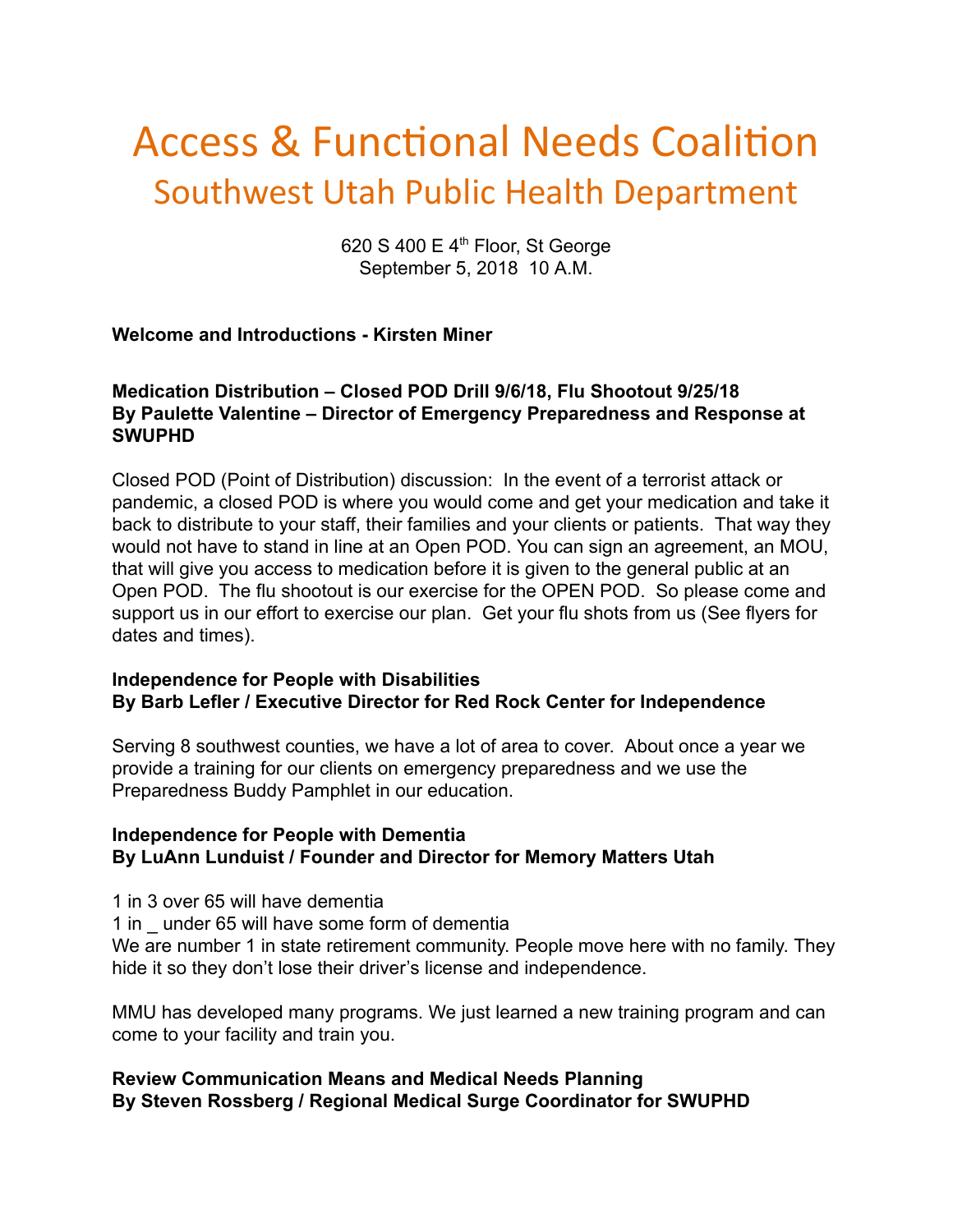# Access & Functional Needs Coalition Southwest Utah Public Health Department

620 S 400 E  $4<sup>th</sup>$  Floor, St George September 5, 2018 10 A.M.

## **Welcome and Introductions - Kirsten Miner**

## **Medication Distribution – Closed POD Drill 9/6/18, Flu Shootout 9/25/18 By Paulette Valentine – Director of Emergency Preparedness and Response at SWUPHD**

Closed POD (Point of Distribution) discussion: In the event of a terrorist attack or pandemic, a closed POD is where you would come and get your medication and take it back to distribute to your staff, their families and your clients or patients. That way they would not have to stand in line at an Open POD. You can sign an agreement, an MOU, that will give you access to medication before it is given to the general public at an Open POD. The flu shootout is our exercise for the OPEN POD. So please come and support us in our effort to exercise our plan. Get your flu shots from us (See flyers for dates and times).

#### **Independence for People with Disabilities By Barb Lefler / Executive Director for Red Rock Center for Independence**

Serving 8 southwest counties, we have a lot of area to cover. About once a year we provide a training for our clients on emergency preparedness and we use the Preparedness Buddy Pamphlet in our education.

## **Independence for People with Dementia By LuAnn Lunduist / Founder and Director for Memory Matters Utah**

- 1 in 3 over 65 will have dementia
- 1 in \_ under 65 will have some form of dementia

We are number 1 in state retirement community. People move here with no family. They hide it so they don't lose their driver's license and independence.

MMU has developed many programs. We just learned a new training program and can come to your facility and train you.

#### **Review Communication Means and Medical Needs Planning By Steven Rossberg / Regional Medical Surge Coordinator for SWUPHD**